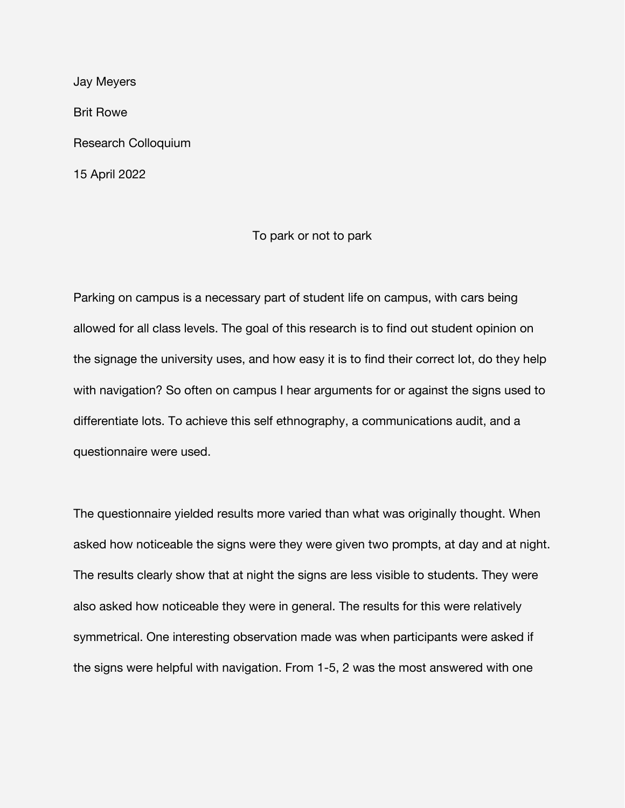Jay Meyers Brit Rowe Research Colloquium 15 April 2022

## To park or not to park

Parking on campus is a necessary part of student life on campus, with cars being allowed for all class levels. The goal of this research is to find out student opinion on the signage the university uses, and how easy it is to find their correct lot, do they help with navigation? So often on campus I hear arguments for or against the signs used to differentiate lots. To achieve this self ethnography, a communications audit, and a questionnaire were used.

The questionnaire yielded results more varied than what was originally thought. When asked how noticeable the signs were they were given two prompts, at day and at night. The results clearly show that at night the signs are less visible to students. They were also asked how noticeable they were in general. The results for this were relatively symmetrical. One interesting observation made was when participants were asked if the signs were helpful with navigation. From 1-5, 2 was the most answered with one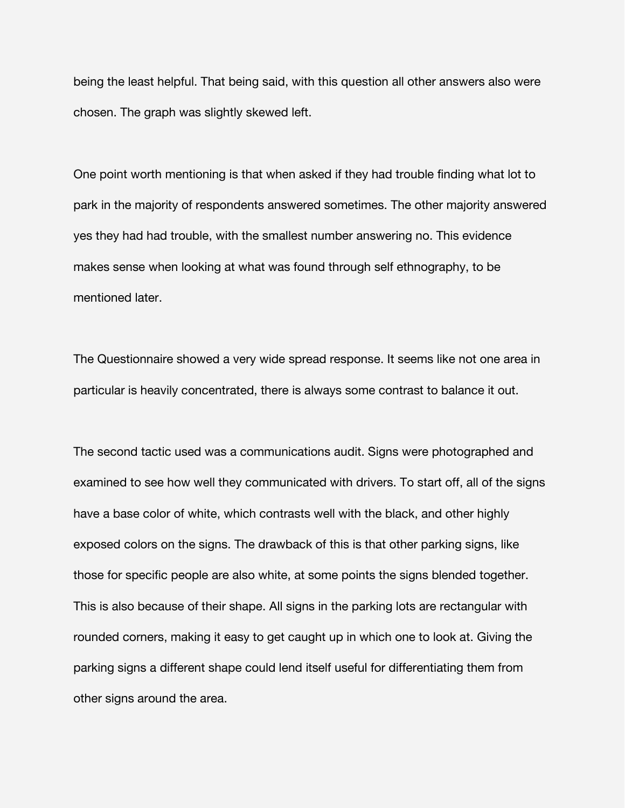being the least helpful. That being said, with this question all other answers also were chosen. The graph was slightly skewed left.

One point worth mentioning is that when asked if they had trouble finding what lot to park in the majority of respondents answered sometimes. The other majority answered yes they had had trouble, with the smallest number answering no. This evidence makes sense when looking at what was found through self ethnography, to be mentioned later.

The Questionnaire showed a very wide spread response. It seems like not one area in particular is heavily concentrated, there is always some contrast to balance it out.

The second tactic used was a communications audit. Signs were photographed and examined to see how well they communicated with drivers. To start off, all of the signs have a base color of white, which contrasts well with the black, and other highly exposed colors on the signs. The drawback of this is that other parking signs, like those for specific people are also white, at some points the signs blended together. This is also because of their shape. All signs in the parking lots are rectangular with rounded corners, making it easy to get caught up in which one to look at. Giving the parking signs a different shape could lend itself useful for differentiating them from other signs around the area.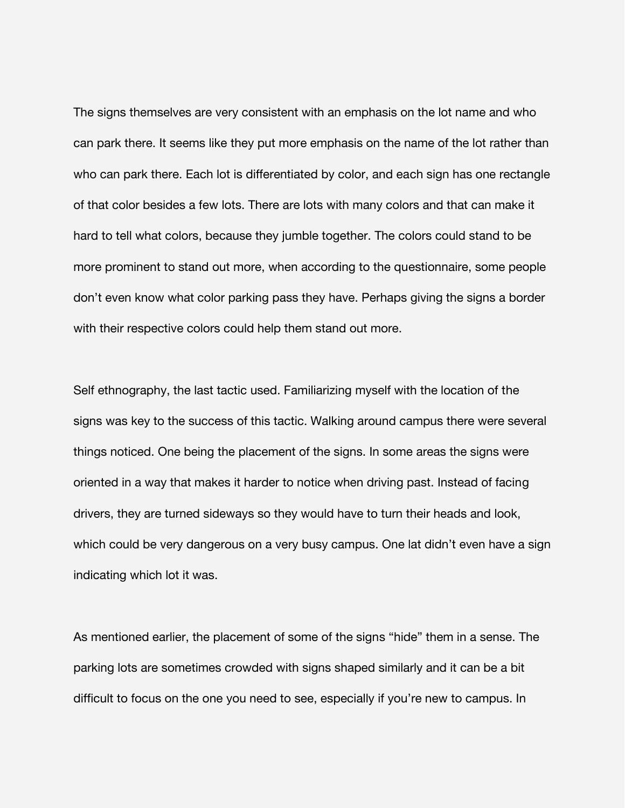The signs themselves are very consistent with an emphasis on the lot name and who can park there. It seems like they put more emphasis on the name of the lot rather than who can park there. Each lot is differentiated by color, and each sign has one rectangle of that color besides a few lots. There are lots with many colors and that can make it hard to tell what colors, because they jumble together. The colors could stand to be more prominent to stand out more, when according to the questionnaire, some people don't even know what color parking pass they have. Perhaps giving the signs a border with their respective colors could help them stand out more.

Self ethnography, the last tactic used. Familiarizing myself with the location of the signs was key to the success of this tactic. Walking around campus there were several things noticed. One being the placement of the signs. In some areas the signs were oriented in a way that makes it harder to notice when driving past. Instead of facing drivers, they are turned sideways so they would have to turn their heads and look, which could be very dangerous on a very busy campus. One lat didn't even have a sign indicating which lot it was.

As mentioned earlier, the placement of some of the signs "hide" them in a sense. The parking lots are sometimes crowded with signs shaped similarly and it can be a bit difficult to focus on the one you need to see, especially if you're new to campus. In